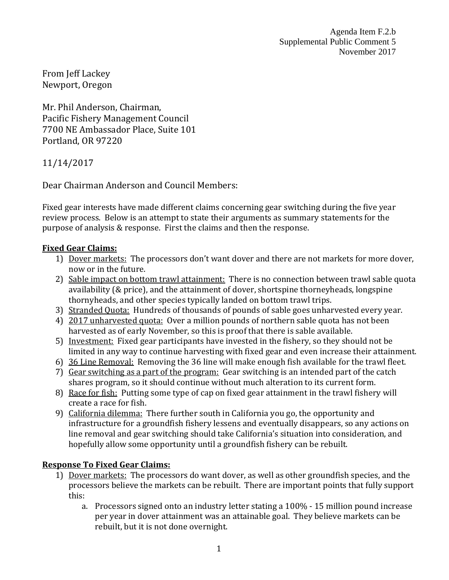Agenda Item F.2.b Supplemental Public Comment 5 November 2017

From Jeff Lackey Newport, Oregon

Mr. Phil Anderson, Chairman, Pacific Fishery Management Council 7700 NE Ambassador Place, Suite 101 Portland, OR 97220

11/14/2017

Dear Chairman Anderson and Council Members:

Fixed gear interests have made different claims concerning gear switching during the five year review process. Below is an attempt to state their arguments as summary statements for the purpose of analysis & response. First the claims and then the response.

## **Fixed Gear Claims:**

- 1) Dover markets: The processors don't want dover and there are not markets for more dover, now or in the future.
- 2) Sable impact on bottom trawl attainment: There is no connection between trawl sable quota availability (& price), and the attainment of dover, shortspine thorneyheads, longspine thornyheads, and other species typically landed on bottom trawl trips.
- 3) Stranded Quota: Hundreds of thousands of pounds of sable goes unharvested every year.
- 4) 2017 unharvested quota: Over a million pounds of northern sable quota has not been harvested as of early November, so this is proof that there is sable available.
- 5) Investment: Fixed gear participants have invested in the fishery, so they should not be limited in any way to continue harvesting with fixed gear and even increase their attainment.
- 6) 36 Line Removal: Removing the 36 line will make enough fish available for the trawl fleet.
- 7) Gear switching as a part of the program: Gear switching is an intended part of the catch shares program, so it should continue without much alteration to its current form.
- 8) Race for fish: Putting some type of cap on fixed gear attainment in the trawl fishery will create a race for fish.
- 9) California dilemma: There further south in California you go, the opportunity and infrastructure for a groundfish fishery lessens and eventually disappears, so any actions on line removal and gear switching should take California's situation into consideration, and hopefully allow some opportunity until a groundfish fishery can be rebuilt.

## **Response To Fixed Gear Claims:**

- 1) Dover markets: The processors do want dover, as well as other groundfish species, and the processors believe the markets can be rebuilt. There are important points that fully support this:
	- a. Processors signed onto an industry letter stating a 100% 15 million pound increase per year in dover attainment was an attainable goal. They believe markets can be rebuilt, but it is not done overnight.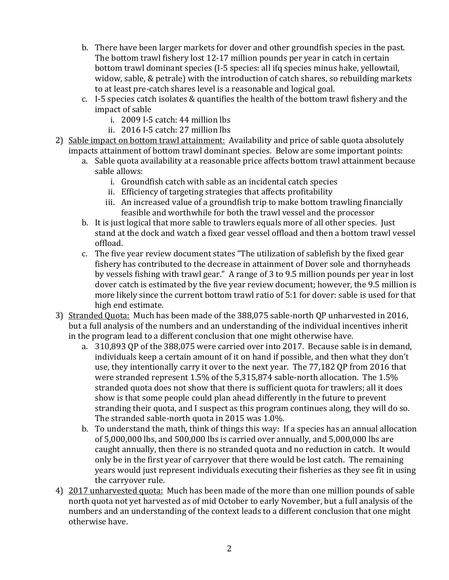- b. There have been larger markets for dover and other groundfish species in the past. The bottom trawl fishery lost 12-17 million pounds per year in catch in certain bottom trawl dominant species (I-5 species: all ifq species minus hake, yellowtail, widow, sable, & petrale) with the introduction of catch shares, so rebuilding markets to at least pre-catch shares level is a reasonable and logical goal.
- c. I-5 species catch isolates & quantifies the health of the bottom trawl fishery and the impact of sable
	- i. 2009 I-5 catch: 44 million lbs
	- ii. 2016 I-5 catch: 27 million lbs
- 2) Sable impact on bottom trawl attainment: Availability and price of sable quota absolutely impacts attainment of bottom trawl dominant species. Below are some important points:
	- a. Sable quota availability at a reasonable price affects bottom trawl attainment because sable allows:
		- i. Groundfish catch with sable as an incidental catch species
		- ii. Efficiency of targeting strategies that affects profitability
		- iii. An increased value of a groundfish trip to make bottom trawling financially feasible and worthwhile for both the trawl vessel and the processor
	- b. It is just logical that more sable to trawlers equals more of all other species. Just stand at the dock and watch a fixed gear vessel offload and then a bottom trawl vessel offload.
	- c. The five year review document states "The utilization of sablefish by the fixed gear fishery has contributed to the decrease in attainment of Dover sole and thornyheads by vessels fishing with trawl gear." A range of 3 to 9.5 million pounds per year in lost dover catch is estimated by the five year review document; however, the 9.5 million is more likely since the current bottom trawl ratio of 5:1 for dover: sable is used for that high end estimate.
- 3) Stranded Quota: Much has been made of the 388,075 sable-north QP unharvested in 2016, but a full analysis of the numbers and an understanding of the individual incentives inherit in the program lead to a different conclusion that one might otherwise have.
	- a. 310,893 QP of the 388,075 were carried over into 2017. Because sable is in demand, individuals keep a certain amount of it on hand if possible, and then what they don't use, they intentionally carry it over to the next year. The 77,182 QP from 2016 that were stranded represent 1.5% of the 5,315,874 sable-north allocation. The 1.5% stranded quota does not show that there is sufficient quota for trawlers; all it does show is that some people could plan ahead differently in the future to prevent stranding their quota, and I suspect as this program continues along, they will do so. The stranded sable-north quota in 2015 was 1.0%.
	- b. To understand the math, think of things this way: If a species has an annual allocation of 5,000,000 lbs, and 500,000 lbs is carried over annually, and 5,000,000 lbs are caught annually, then there is no stranded quota and no reduction in catch. It would only be in the first year of carryover that there would be lost catch. The remaining years would just represent individuals executing their fisheries as they see fit in using the carryover rule.
- 4) 2017 unharvested quota: Much has been made of the more than one million pounds of sable north quota not yet harvested as of mid October to early November, but a full analysis of the numbers and an understanding of the context leads to a different conclusion that one might otherwise have.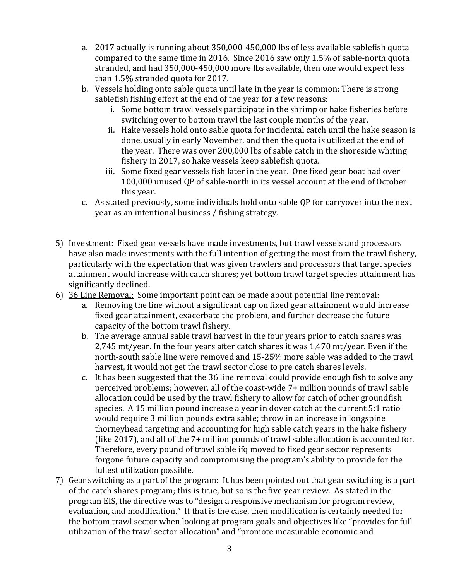- a. 2017 actually is running about 350,000-450,000 lbs of less available sablefish quota compared to the same time in 2016. Since 2016 saw only 1.5% of sable-north quota stranded, and had 350,000-450,000 more lbs available, then one would expect less than 1.5% stranded quota for 2017.
- b. Vessels holding onto sable quota until late in the year is common; There is strong sablefish fishing effort at the end of the year for a few reasons:
	- i. Some bottom trawl vessels participate in the shrimp or hake fisheries before switching over to bottom trawl the last couple months of the year.
	- ii. Hake vessels hold onto sable quota for incidental catch until the hake season is done, usually in early November, and then the quota is utilized at the end of the year. There was over 200,000 lbs of sable catch in the shoreside whiting fishery in 2017, so hake vessels keep sablefish quota.
	- iii. Some fixed gear vessels fish later in the year. One fixed gear boat had over 100,000 unused QP of sable-north in its vessel account at the end of October this year.
- c. As stated previously, some individuals hold onto sable QP for carryover into the next year as an intentional business / fishing strategy.
- 5) Investment: Fixed gear vessels have made investments, but trawl vessels and processors have also made investments with the full intention of getting the most from the trawl fishery, particularly with the expectation that was given trawlers and processors that target species attainment would increase with catch shares; yet bottom trawl target species attainment has significantly declined.
- 6) 36 Line Removal: Some important point can be made about potential line removal:
	- a. Removing the line without a significant cap on fixed gear attainment would increase fixed gear attainment, exacerbate the problem, and further decrease the future capacity of the bottom trawl fishery.
	- b. The average annual sable trawl harvest in the four years prior to catch shares was 2,745 mt/year. In the four years after catch shares it was 1,470 mt/year. Even if the north-south sable line were removed and 15-25% more sable was added to the trawl harvest, it would not get the trawl sector close to pre catch shares levels.
	- c. It has been suggested that the 36 line removal could provide enough fish to solve any perceived problems; however, all of the coast-wide 7+ million pounds of trawl sable allocation could be used by the trawl fishery to allow for catch of other groundfish species. A 15 million pound increase a year in dover catch at the current 5:1 ratio would require 3 million pounds extra sable; throw in an increase in longspine thorneyhead targeting and accounting for high sable catch years in the hake fishery (like 2017), and all of the 7+ million pounds of trawl sable allocation is accounted for. Therefore, every pound of trawl sable ifq moved to fixed gear sector represents forgone future capacity and compromising the program's ability to provide for the fullest utilization possible.
- 7) Gear switching as a part of the program: It has been pointed out that gear switching is a part of the catch shares program; this is true, but so is the five year review. As stated in the program EIS, the directive was to "design a responsive mechanism for program review, evaluation, and modification." If that is the case, then modification is certainly needed for the bottom trawl sector when looking at program goals and objectives like "provides for full utilization of the trawl sector allocation" and "promote measurable economic and